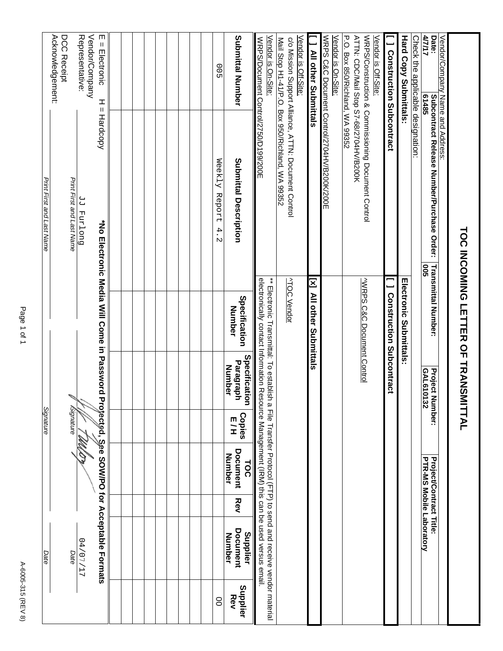| Signature                                                                                                                                                                                                                                                                                                                                                                                                                                                                                                                                                                                                                                                                                                       | Vendor/Company<br>Representative:<br>Acknowledgement:<br>DCC Receipt<br>m<br>Submittal Number<br>Vendor is Off-Site:<br>Vendor is On-Site:<br>Vendor is On-Site:<br>$\sf II$<br>Electronic<br>00 | WRPS/Construction & Commissioning Document Control<br><b>Hardcopy</b><br>Weekly<br>Submittal Description<br>Print First and Last Name<br>Print First and Last Name<br>Report<br>Ducland PP<br>4.<br>N | $\ddot{*}$<br><b>ATOC Vendor</b><br>$\mathbf{[x]}$<br>Specification<br>Number | Specification<br>Paragraph<br><b>Number</b> | Copies<br>E/H | Document<br>Number<br><b>TOC</b> | <b>Rev</b> | <b>Document</b><br>Supplier<br>Number<br>11/10/20<br>Date<br>Date | Supplier<br>Rev<br>8 |
|-----------------------------------------------------------------------------------------------------------------------------------------------------------------------------------------------------------------------------------------------------------------------------------------------------------------------------------------------------------------------------------------------------------------------------------------------------------------------------------------------------------------------------------------------------------------------------------------------------------------------------------------------------------------------------------------------------------------|--------------------------------------------------------------------------------------------------------------------------------------------------------------------------------------------------|-------------------------------------------------------------------------------------------------------------------------------------------------------------------------------------------------------|-------------------------------------------------------------------------------|---------------------------------------------|---------------|----------------------------------|------------|-------------------------------------------------------------------|----------------------|
| WRPS C&C Document Control/2704HV/B200K/200E<br>P.O. Box 850/Richland, WA 99352<br>ATTN: CDC/Mail Stop S7-68/2704HV/B200K<br>Mail Stop H1-41/P.O. Box 950/Richland, WA 99352<br>c/o Mission Support Alliance, ATTN: Document Control<br>WRPS/Document Control/2750/D199/200E<br>I All other Superittals<br>퓨<br>*No Electronic Media Will Come in Password<br>electronically contact Information Resource Management (IRM) this can be used versus email<br><b>VWRPS C&amp;C Document Control</b><br>Electionic Transmittal: To estabilista de de la pototo-Li (FTP) to tos da da da de de los de de los de de los d<br>All other Submittals<br>Profected, See SOW/PO for Acceptable Formats<br><b>Signature</b> | Vendor is Off-Site:                                                                                                                                                                              |                                                                                                                                                                                                       |                                                                               |                                             |               |                                  |            |                                                                   |                      |
|                                                                                                                                                                                                                                                                                                                                                                                                                                                                                                                                                                                                                                                                                                                 |                                                                                                                                                                                                  |                                                                                                                                                                                                       |                                                                               |                                             |               |                                  |            |                                                                   |                      |
|                                                                                                                                                                                                                                                                                                                                                                                                                                                                                                                                                                                                                                                                                                                 |                                                                                                                                                                                                  |                                                                                                                                                                                                       |                                                                               |                                             |               |                                  |            |                                                                   |                      |
|                                                                                                                                                                                                                                                                                                                                                                                                                                                                                                                                                                                                                                                                                                                 |                                                                                                                                                                                                  |                                                                                                                                                                                                       |                                                                               |                                             |               |                                  |            |                                                                   |                      |
|                                                                                                                                                                                                                                                                                                                                                                                                                                                                                                                                                                                                                                                                                                                 |                                                                                                                                                                                                  |                                                                                                                                                                                                       |                                                                               |                                             |               |                                  |            |                                                                   |                      |
|                                                                                                                                                                                                                                                                                                                                                                                                                                                                                                                                                                                                                                                                                                                 |                                                                                                                                                                                                  |                                                                                                                                                                                                       |                                                                               |                                             |               |                                  |            |                                                                   |                      |
|                                                                                                                                                                                                                                                                                                                                                                                                                                                                                                                                                                                                                                                                                                                 |                                                                                                                                                                                                  |                                                                                                                                                                                                       |                                                                               |                                             |               |                                  |            |                                                                   |                      |
|                                                                                                                                                                                                                                                                                                                                                                                                                                                                                                                                                                                                                                                                                                                 |                                                                                                                                                                                                  |                                                                                                                                                                                                       |                                                                               |                                             |               |                                  |            |                                                                   |                      |
|                                                                                                                                                                                                                                                                                                                                                                                                                                                                                                                                                                                                                                                                                                                 |                                                                                                                                                                                                  |                                                                                                                                                                                                       |                                                                               |                                             |               |                                  |            |                                                                   |                      |
|                                                                                                                                                                                                                                                                                                                                                                                                                                                                                                                                                                                                                                                                                                                 |                                                                                                                                                                                                  |                                                                                                                                                                                                       |                                                                               |                                             |               |                                  |            |                                                                   |                      |
|                                                                                                                                                                                                                                                                                                                                                                                                                                                                                                                                                                                                                                                                                                                 |                                                                                                                                                                                                  |                                                                                                                                                                                                       |                                                                               |                                             |               |                                  |            |                                                                   |                      |
|                                                                                                                                                                                                                                                                                                                                                                                                                                                                                                                                                                                                                                                                                                                 |                                                                                                                                                                                                  |                                                                                                                                                                                                       |                                                                               |                                             |               |                                  |            |                                                                   |                      |
|                                                                                                                                                                                                                                                                                                                                                                                                                                                                                                                                                                                                                                                                                                                 |                                                                                                                                                                                                  |                                                                                                                                                                                                       |                                                                               |                                             |               |                                  |            |                                                                   |                      |
|                                                                                                                                                                                                                                                                                                                                                                                                                                                                                                                                                                                                                                                                                                                 |                                                                                                                                                                                                  |                                                                                                                                                                                                       |                                                                               |                                             |               |                                  |            |                                                                   |                      |
|                                                                                                                                                                                                                                                                                                                                                                                                                                                                                                                                                                                                                                                                                                                 |                                                                                                                                                                                                  |                                                                                                                                                                                                       |                                                                               |                                             |               |                                  |            |                                                                   |                      |
|                                                                                                                                                                                                                                                                                                                                                                                                                                                                                                                                                                                                                                                                                                                 |                                                                                                                                                                                                  |                                                                                                                                                                                                       |                                                                               |                                             |               |                                  |            |                                                                   |                      |
|                                                                                                                                                                                                                                                                                                                                                                                                                                                                                                                                                                                                                                                                                                                 |                                                                                                                                                                                                  |                                                                                                                                                                                                       |                                                                               |                                             |               |                                  |            |                                                                   |                      |
|                                                                                                                                                                                                                                                                                                                                                                                                                                                                                                                                                                                                                                                                                                                 |                                                                                                                                                                                                  |                                                                                                                                                                                                       |                                                                               |                                             |               |                                  |            |                                                                   |                      |
|                                                                                                                                                                                                                                                                                                                                                                                                                                                                                                                                                                                                                                                                                                                 |                                                                                                                                                                                                  |                                                                                                                                                                                                       |                                                                               |                                             |               |                                  |            |                                                                   |                      |
|                                                                                                                                                                                                                                                                                                                                                                                                                                                                                                                                                                                                                                                                                                                 |                                                                                                                                                                                                  |                                                                                                                                                                                                       |                                                                               |                                             |               |                                  |            |                                                                   |                      |
|                                                                                                                                                                                                                                                                                                                                                                                                                                                                                                                                                                                                                                                                                                                 |                                                                                                                                                                                                  |                                                                                                                                                                                                       |                                                                               |                                             |               |                                  |            |                                                                   |                      |
|                                                                                                                                                                                                                                                                                                                                                                                                                                                                                                                                                                                                                                                                                                                 |                                                                                                                                                                                                  |                                                                                                                                                                                                       |                                                                               |                                             |               |                                  |            |                                                                   |                      |
|                                                                                                                                                                                                                                                                                                                                                                                                                                                                                                                                                                                                                                                                                                                 |                                                                                                                                                                                                  |                                                                                                                                                                                                       |                                                                               |                                             |               |                                  |            |                                                                   |                      |
|                                                                                                                                                                                                                                                                                                                                                                                                                                                                                                                                                                                                                                                                                                                 |                                                                                                                                                                                                  |                                                                                                                                                                                                       |                                                                               |                                             |               |                                  |            |                                                                   |                      |
|                                                                                                                                                                                                                                                                                                                                                                                                                                                                                                                                                                                                                                                                                                                 |                                                                                                                                                                                                  |                                                                                                                                                                                                       |                                                                               |                                             |               |                                  |            |                                                                   |                      |
|                                                                                                                                                                                                                                                                                                                                                                                                                                                                                                                                                                                                                                                                                                                 |                                                                                                                                                                                                  |                                                                                                                                                                                                       |                                                                               |                                             |               |                                  |            |                                                                   |                      |
|                                                                                                                                                                                                                                                                                                                                                                                                                                                                                                                                                                                                                                                                                                                 |                                                                                                                                                                                                  |                                                                                                                                                                                                       |                                                                               |                                             |               |                                  |            |                                                                   |                      |
|                                                                                                                                                                                                                                                                                                                                                                                                                                                                                                                                                                                                                                                                                                                 |                                                                                                                                                                                                  |                                                                                                                                                                                                       |                                                                               |                                             |               |                                  |            |                                                                   |                      |
|                                                                                                                                                                                                                                                                                                                                                                                                                                                                                                                                                                                                                                                                                                                 |                                                                                                                                                                                                  |                                                                                                                                                                                                       |                                                                               |                                             |               |                                  |            |                                                                   |                      |
|                                                                                                                                                                                                                                                                                                                                                                                                                                                                                                                                                                                                                                                                                                                 |                                                                                                                                                                                                  |                                                                                                                                                                                                       |                                                                               |                                             |               |                                  |            |                                                                   |                      |
|                                                                                                                                                                                                                                                                                                                                                                                                                                                                                                                                                                                                                                                                                                                 |                                                                                                                                                                                                  |                                                                                                                                                                                                       |                                                                               |                                             |               |                                  |            |                                                                   |                      |
|                                                                                                                                                                                                                                                                                                                                                                                                                                                                                                                                                                                                                                                                                                                 |                                                                                                                                                                                                  |                                                                                                                                                                                                       |                                                                               |                                             |               |                                  |            |                                                                   |                      |
|                                                                                                                                                                                                                                                                                                                                                                                                                                                                                                                                                                                                                                                                                                                 |                                                                                                                                                                                                  |                                                                                                                                                                                                       |                                                                               |                                             |               |                                  |            |                                                                   |                      |
|                                                                                                                                                                                                                                                                                                                                                                                                                                                                                                                                                                                                                                                                                                                 |                                                                                                                                                                                                  |                                                                                                                                                                                                       |                                                                               |                                             |               |                                  |            |                                                                   |                      |
|                                                                                                                                                                                                                                                                                                                                                                                                                                                                                                                                                                                                                                                                                                                 |                                                                                                                                                                                                  |                                                                                                                                                                                                       |                                                                               |                                             |               |                                  |            |                                                                   |                      |
|                                                                                                                                                                                                                                                                                                                                                                                                                                                                                                                                                                                                                                                                                                                 |                                                                                                                                                                                                  |                                                                                                                                                                                                       |                                                                               |                                             |               |                                  |            |                                                                   |                      |
|                                                                                                                                                                                                                                                                                                                                                                                                                                                                                                                                                                                                                                                                                                                 |                                                                                                                                                                                                  |                                                                                                                                                                                                       |                                                                               |                                             |               |                                  |            |                                                                   |                      |
|                                                                                                                                                                                                                                                                                                                                                                                                                                                                                                                                                                                                                                                                                                                 |                                                                                                                                                                                                  |                                                                                                                                                                                                       |                                                                               |                                             |               |                                  |            |                                                                   |                      |
|                                                                                                                                                                                                                                                                                                                                                                                                                                                                                                                                                                                                                                                                                                                 |                                                                                                                                                                                                  |                                                                                                                                                                                                       |                                                                               |                                             |               |                                  |            |                                                                   |                      |
|                                                                                                                                                                                                                                                                                                                                                                                                                                                                                                                                                                                                                                                                                                                 |                                                                                                                                                                                                  |                                                                                                                                                                                                       |                                                                               |                                             |               |                                  |            |                                                                   |                      |
|                                                                                                                                                                                                                                                                                                                                                                                                                                                                                                                                                                                                                                                                                                                 |                                                                                                                                                                                                  |                                                                                                                                                                                                       |                                                                               |                                             |               |                                  |            |                                                                   |                      |
|                                                                                                                                                                                                                                                                                                                                                                                                                                                                                                                                                                                                                                                                                                                 |                                                                                                                                                                                                  |                                                                                                                                                                                                       |                                                                               |                                             |               |                                  |            |                                                                   |                      |
|                                                                                                                                                                                                                                                                                                                                                                                                                                                                                                                                                                                                                                                                                                                 |                                                                                                                                                                                                  |                                                                                                                                                                                                       |                                                                               |                                             |               |                                  |            |                                                                   |                      |
|                                                                                                                                                                                                                                                                                                                                                                                                                                                                                                                                                                                                                                                                                                                 |                                                                                                                                                                                                  |                                                                                                                                                                                                       |                                                                               |                                             |               |                                  |            |                                                                   |                      |
|                                                                                                                                                                                                                                                                                                                                                                                                                                                                                                                                                                                                                                                                                                                 |                                                                                                                                                                                                  |                                                                                                                                                                                                       |                                                                               |                                             |               |                                  |            |                                                                   |                      |
|                                                                                                                                                                                                                                                                                                                                                                                                                                                                                                                                                                                                                                                                                                                 |                                                                                                                                                                                                  |                                                                                                                                                                                                       |                                                                               |                                             |               |                                  |            |                                                                   |                      |
|                                                                                                                                                                                                                                                                                                                                                                                                                                                                                                                                                                                                                                                                                                                 |                                                                                                                                                                                                  |                                                                                                                                                                                                       |                                                                               |                                             |               |                                  |            |                                                                   |                      |
|                                                                                                                                                                                                                                                                                                                                                                                                                                                                                                                                                                                                                                                                                                                 |                                                                                                                                                                                                  |                                                                                                                                                                                                       |                                                                               |                                             |               |                                  |            |                                                                   |                      |
|                                                                                                                                                                                                                                                                                                                                                                                                                                                                                                                                                                                                                                                                                                                 |                                                                                                                                                                                                  |                                                                                                                                                                                                       |                                                                               |                                             |               |                                  |            |                                                                   |                      |
|                                                                                                                                                                                                                                                                                                                                                                                                                                                                                                                                                                                                                                                                                                                 |                                                                                                                                                                                                  |                                                                                                                                                                                                       |                                                                               |                                             |               |                                  |            |                                                                   |                      |
|                                                                                                                                                                                                                                                                                                                                                                                                                                                                                                                                                                                                                                                                                                                 |                                                                                                                                                                                                  |                                                                                                                                                                                                       |                                                                               |                                             |               |                                  |            |                                                                   |                      |
|                                                                                                                                                                                                                                                                                                                                                                                                                                                                                                                                                                                                                                                                                                                 |                                                                                                                                                                                                  |                                                                                                                                                                                                       |                                                                               |                                             |               |                                  |            |                                                                   |                      |
|                                                                                                                                                                                                                                                                                                                                                                                                                                                                                                                                                                                                                                                                                                                 |                                                                                                                                                                                                  |                                                                                                                                                                                                       |                                                                               |                                             |               |                                  |            |                                                                   |                      |
|                                                                                                                                                                                                                                                                                                                                                                                                                                                                                                                                                                                                                                                                                                                 |                                                                                                                                                                                                  |                                                                                                                                                                                                       |                                                                               |                                             |               |                                  |            |                                                                   |                      |

Page 1 of 1 Page 1 of 1

A-6005-315 (REV 8) A-6005-315 (REV 8)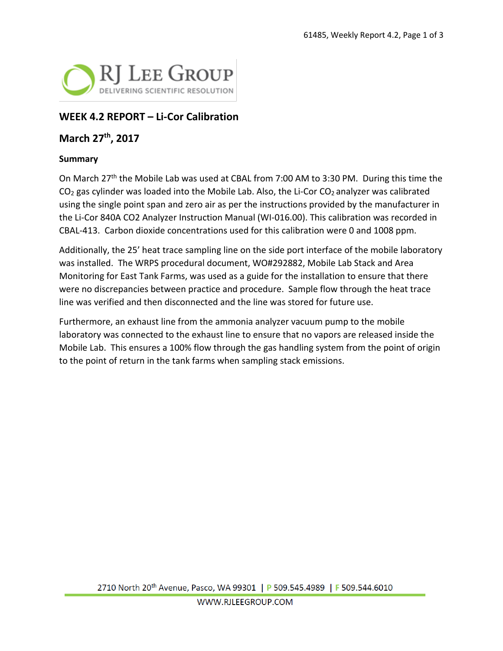

## **WEEK 4.2 REPORT – Li-Cor Calibration**

### **March 27th, 2017**

#### **Summary**

On March 27<sup>th</sup> the Mobile Lab was used at CBAL from 7:00 AM to 3:30 PM. During this time the  $CO<sub>2</sub>$  gas cylinder was loaded into the Mobile Lab. Also, the Li-Cor  $CO<sub>2</sub>$  analyzer was calibrated using the single point span and zero air as per the instructions provided by the manufacturer in the Li-Cor 840A CO2 Analyzer Instruction Manual (WI-016.00). This calibration was recorded in CBAL-413. Carbon dioxide concentrations used for this calibration were 0 and 1008 ppm.

Additionally, the 25' heat trace sampling line on the side port interface of the mobile laboratory was installed. The WRPS procedural document, WO#292882, Mobile Lab Stack and Area Monitoring for East Tank Farms, was used as a guide for the installation to ensure that there were no discrepancies between practice and procedure. Sample flow through the heat trace line was verified and then disconnected and the line was stored for future use.

Furthermore, an exhaust line from the ammonia analyzer vacuum pump to the mobile laboratory was connected to the exhaust line to ensure that no vapors are released inside the Mobile Lab. This ensures a 100% flow through the gas handling system from the point of origin to the point of return in the tank farms when sampling stack emissions.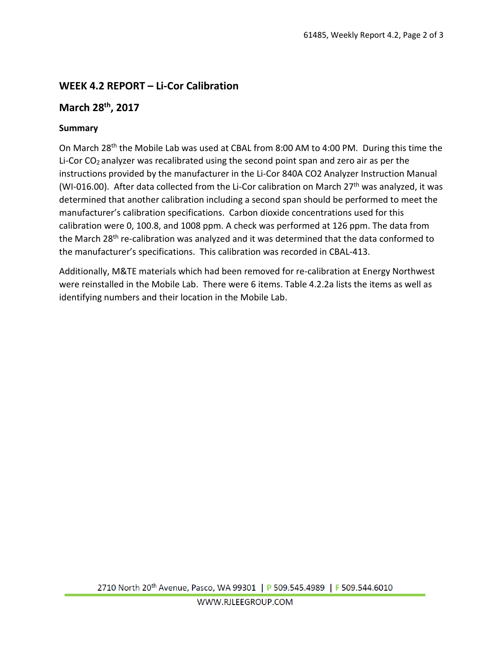# **WEEK 4.2 REPORT – Li-Cor Calibration**

## **March 28th, 2017**

### **Summary**

On March 28th the Mobile Lab was used at CBAL from 8:00 AM to 4:00 PM. During this time the Li-Cor CO<sub>2</sub> analyzer was recalibrated using the second point span and zero air as per the instructions provided by the manufacturer in the Li-Cor 840A CO2 Analyzer Instruction Manual (WI-016.00). After data collected from the Li-Cor calibration on March  $27<sup>th</sup>$  was analyzed, it was determined that another calibration including a second span should be performed to meet the manufacturer's calibration specifications. Carbon dioxide concentrations used for this calibration were 0, 100.8, and 1008 ppm. A check was performed at 126 ppm. The data from the March 28<sup>th</sup> re-calibration was analyzed and it was determined that the data conformed to the manufacturer's specifications. This calibration was recorded in CBAL-413.

Additionally, M&TE materials which had been removed for re-calibration at Energy Northwest were reinstalled in the Mobile Lab. There were 6 items. Table 4.2.2a lists the items as well as identifying numbers and their location in the Mobile Lab.